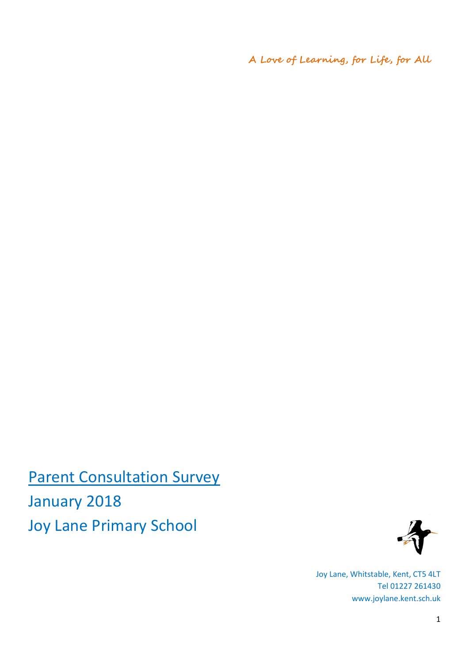**A Love of Learning, for Life, for All**

**Parent Consultation Survey** January 2018 Joy Lane Primary School



Joy Lane, Whitstable, Kent, CT5 4LT Tel 01227 261430 www.joylane.kent.sch.uk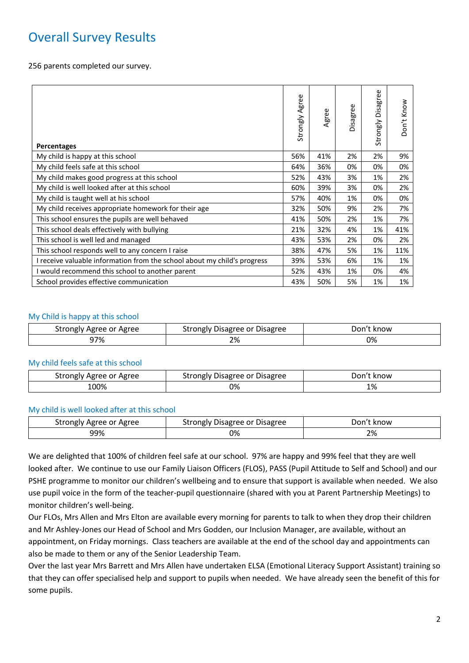# Overall Survey Results

256 parents completed our survey.

| Percentages                                                              | Strongly Agree | Agree | Disagree | Disagree<br>Strongly | Don't Know |
|--------------------------------------------------------------------------|----------------|-------|----------|----------------------|------------|
| My child is happy at this school                                         | 56%            | 41%   | 2%       | 2%                   | 9%         |
| My child feels safe at this school                                       | 64%            | 36%   | 0%       | 0%                   | 0%         |
| My child makes good progress at this school                              | 52%            | 43%   | 3%       | 1%                   | 2%         |
| My child is well looked after at this school                             | 60%            | 39%   | 3%       | 0%                   | 2%         |
| My child is taught well at his school                                    | 57%            | 40%   | 1%       | 0%                   | 0%         |
| My child receives appropriate homework for their age                     | 32%            | 50%   | 9%       | 2%                   | 7%         |
| This school ensures the pupils are well behaved                          | 41%            | 50%   | 2%       | 1%                   | 7%         |
| This school deals effectively with bullying                              | 21%            | 32%   | 4%       | 1%                   | 41%        |
| This school is well led and managed                                      | 43%            | 53%   | 2%       | 0%                   | 2%         |
| This school responds well to any concern I raise                         | 38%            | 47%   | 5%       | 1%                   | 11%        |
| I receive valuable information from the school about my child's progress | 39%            | 53%   | 6%       | 1%                   | 1%         |
| I would recommend this school to another parent                          | 52%            | 43%   | 1%       | 0%                   | 4%         |
| School provides effective communication                                  | 43%            | 50%   | 5%       | 1%                   | 1%         |

#### My Child is happy at this school

| strongly<br>/ Agree or Agree | Strongly Disagree or Disagree | Don't<br>: know |
|------------------------------|-------------------------------|-----------------|
| 97%                          | ים ר<br>Z70                   | 0%              |

#### My child feels safe at this school

| Agree or Agree | / Disagree or Disagree | Don     |
|----------------|------------------------|---------|
| strongly       | ' strongly۔            | 't know |
| 00%،           | 0%                     | 1%      |
|                |                        |         |

#### My child is well looked after at this school

| Agree or Agree | / Disagree or Disagree | know |
|----------------|------------------------|------|
| strongly       | strongly '             | Jon  |
| 99%            | 0%                     | 2%   |

We are delighted that 100% of children feel safe at our school. 97% are happy and 99% feel that they are well looked after. We continue to use our Family Liaison Officers (FLOS), PASS (Pupil Attitude to Self and School) and our PSHE programme to monitor our children's wellbeing and to ensure that support is available when needed. We also use pupil voice in the form of the teacher-pupil questionnaire (shared with you at Parent Partnership Meetings) to monitor children's well-being.

Our FLOs, Mrs Allen and Mrs Elton are available every morning for parents to talk to when they drop their children and Mr Ashley-Jones our Head of School and Mrs Godden, our Inclusion Manager, are available, without an appointment, on Friday mornings. Class teachers are available at the end of the school day and appointments can also be made to them or any of the Senior Leadership Team.

Over the last year Mrs Barrett and Mrs Allen have undertaken ELSA (Emotional Literacy Support Assistant) training so that they can offer specialised help and support to pupils when needed. We have already seen the benefit of this for some pupils.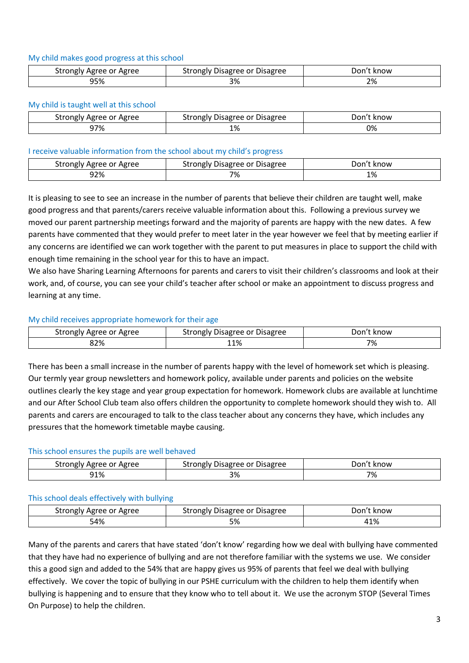#### My child makes good progress at this school

| strongly<br>' Agree or Agree | Disagree or<br>strongly<br><b>Disagree</b> | ''on<br>t know |
|------------------------------|--------------------------------------------|----------------|
| 95%                          | റ.<br>7٥                                   | 2%             |

### My child is taught well at this school

| Strongly Agree or Agree | Strongly Disagree or Disagree | Don't know |
|-------------------------|-------------------------------|------------|
| 97%                     | 1%                            | 0%         |

#### I receive valuable information from the school about my child's progress

| Agree or Agree<br>strongly | <b>Disagree</b><br>trongly<br>Disagree or<br>crone"، | : know<br>⊃on'* |
|----------------------------|------------------------------------------------------|-----------------|
| 92%<br>$   -$              | 70/<br>∽.<br>70<br>$\sim$ $\sim$ $\sim$              | 1%              |

It is pleasing to see to see an increase in the number of parents that believe their children are taught well, make good progress and that parents/carers receive valuable information about this. Following a previous survey we moved our parent partnership meetings forward and the majority of parents are happy with the new dates. A few parents have commented that they would prefer to meet later in the year however we feel that by meeting earlier if any concerns are identified we can work together with the parent to put measures in place to support the child with enough time remaining in the school year for this to have an impact.

We also have Sharing Learning Afternoons for parents and carers to visit their children's classrooms and look at their work, and, of course, you can see your child's teacher after school or make an appointment to discuss progress and learning at any time.

## My child receives appropriate homework for their age

| Agree or Agree<br>strongly | <b>Disagree</b><br>strongly<br>Disagree or | know<br>Don'† |
|----------------------------|--------------------------------------------|---------------|
| 32%                        | 11%                                        | 7%            |

There has been a small increase in the number of parents happy with the level of homework set which is pleasing. Our termly year group newsletters and homework policy, available under parents and policies on the website outlines clearly the key stage and year group expectation for homework. Homework clubs are available at lunchtime and our After School Club team also offers children the opportunity to complete homework should they wish to. All parents and carers are encouraged to talk to the class teacher about any concerns they have, which includes any pressures that the homework timetable maybe causing.

## This school ensures the pupils are well behaved

| ' Agree or Agree | , Disagree or Disagree | Jor  |
|------------------|------------------------|------|
| strongly         | strongly '             | know |
| 91%              | 3%                     | 7%   |

#### This school deals effectively with bullying

| Agree or Agree<br>strongly | <b>Disagree</b><br>Disagree or<br>strongly | Don't know  |
|----------------------------|--------------------------------------------|-------------|
| 54%                        | E <sub>0</sub><br>J 70                     | 110/<br>41% |

Many of the parents and carers that have stated 'don't know' regarding how we deal with bullying have commented that they have had no experience of bullying and are not therefore familiar with the systems we use. We consider this a good sign and added to the 54% that are happy gives us 95% of parents that feel we deal with bullying effectively. We cover the topic of bullying in our PSHE curriculum with the children to help them identify when bullying is happening and to ensure that they know who to tell about it. We use the acronym STOP (Several Times On Purpose) to help the children.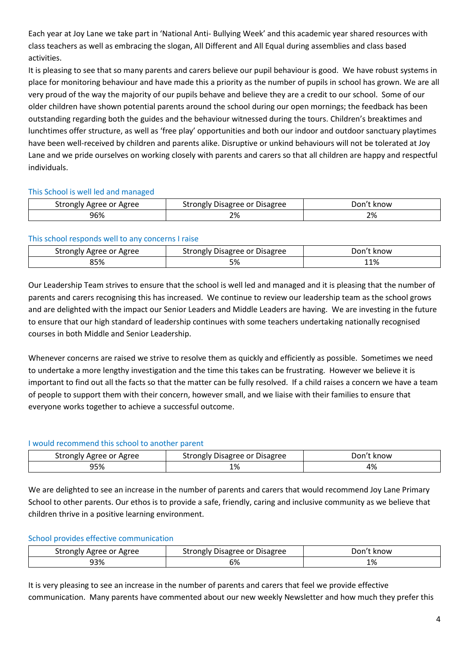Each year at Joy Lane we take part in 'National Anti- Bullying Week' and this academic year shared resources with class teachers as well as embracing the slogan, All Different and All Equal during assemblies and class based activities.

It is pleasing to see that so many parents and carers believe our pupil behaviour is good. We have robust systems in place for monitoring behaviour and have made this a priority as the number of pupils in school has grown. We are all very proud of the way the majority of our pupils behave and believe they are a credit to our school. Some of our older children have shown potential parents around the school during our open mornings; the feedback has been outstanding regarding both the guides and the behaviour witnessed during the tours. Children's breaktimes and lunchtimes offer structure, as well as 'free play' opportunities and both our indoor and outdoor sanctuary playtimes have been well-received by children and parents alike. Disruptive or unkind behaviours will not be tolerated at Joy Lane and we pride ourselves on working closely with parents and carers so that all children are happy and respectful individuals.

## This School is well led and managed

| Agree or Agree | ' Disagree or Disagree | ⊃on′' |
|----------------|------------------------|-------|
| strongly       | strongly '             | know  |
| 96%            | ີດ<br>2%               | 2%    |

## This school responds well to any concerns I raise

| Agree or Agree | , Disagree or Disagree | Jon'   |
|----------------|------------------------|--------|
| strongly       | strongly '             | : know |
| 85%            | ره -<br>つプロ            | 11%    |

Our Leadership Team strives to ensure that the school is well led and managed and it is pleasing that the number of parents and carers recognising this has increased. We continue to review our leadership team as the school grows and are delighted with the impact our Senior Leaders and Middle Leaders are having. We are investing in the future to ensure that our high standard of leadership continues with some teachers undertaking nationally recognised courses in both Middle and Senior Leadership.

Whenever concerns are raised we strive to resolve them as quickly and efficiently as possible. Sometimes we need to undertake a more lengthy investigation and the time this takes can be frustrating. However we believe it is important to find out all the facts so that the matter can be fully resolved. If a child raises a concern we have a team of people to support them with their concern, however small, and we liaise with their families to ensure that everyone works together to achieve a successful outcome.

## I would recommend this school to another parent

| Strongly Agree or Agree | Strongly Disagree or Disagree | Don't know |
|-------------------------|-------------------------------|------------|
| 95%                     | 1%                            | 4%         |

We are delighted to see an increase in the number of parents and carers that would recommend Joy Lane Primary School to other parents. Our ethos is to provide a safe, friendly, caring and inclusive community as we believe that children thrive in a positive learning environment.

## School provides effective communication

| Agree<br>strongly<br>Agree or | <b>Disagree</b><br>strongly<br>Disagree or | Don'*<br>. know |
|-------------------------------|--------------------------------------------|-----------------|
| 93%                           | CO/<br><b>070</b>                          | 1%              |

It is very pleasing to see an increase in the number of parents and carers that feel we provide effective communication. Many parents have commented about our new weekly Newsletter and how much they prefer this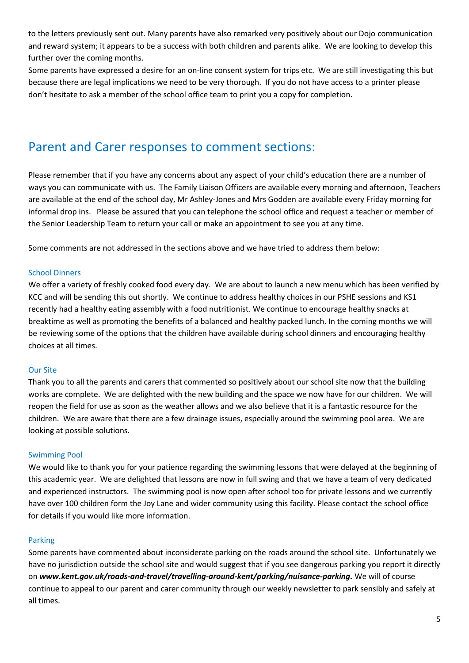to the letters previously sent out. Many parents have also remarked very positively about our Dojo communication and reward system; it appears to be a success with both children and parents alike. We are looking to develop this further over the coming months.

Some parents have expressed a desire for an on-line consent system for trips etc. We are still investigating this but because there are legal implications we need to be very thorough. If you do not have access to a printer please don't hesitate to ask a member of the school office team to print you a copy for completion.

## Parent and Carer responses to comment sections:

Please remember that if you have any concerns about any aspect of your child's education there are a number of ways you can communicate with us. The Family Liaison Officers are available every morning and afternoon, Teachers are available at the end of the school day, Mr Ashley-Jones and Mrs Godden are available every Friday morning for informal drop ins. Please be assured that you can telephone the school office and request a teacher or member of the Senior Leadership Team to return your call or make an appointment to see you at any time.

Some comments are not addressed in the sections above and we have tried to address them below:

### School Dinners

We offer a variety of freshly cooked food every day. We are about to launch a new menu which has been verified by KCC and will be sending this out shortly. We continue to address healthy choices in our PSHE sessions and KS1 recently had a healthy eating assembly with a food nutritionist. We continue to encourage healthy snacks at breaktime as well as promoting the benefits of a balanced and healthy packed lunch. In the coming months we will be reviewing some of the options that the children have available during school dinners and encouraging healthy choices at all times.

#### Our Site

Thank you to all the parents and carers that commented so positively about our school site now that the building works are complete. We are delighted with the new building and the space we now have for our children. We will reopen the field for use as soon as the weather allows and we also believe that it is a fantastic resource for the children. We are aware that there are a few drainage issues, especially around the swimming pool area. We are looking at possible solutions.

## Swimming Pool

We would like to thank you for your patience regarding the swimming lessons that were delayed at the beginning of this academic year. We are delighted that lessons are now in full swing and that we have a team of very dedicated and experienced instructors. The swimming pool is now open after school too for private lessons and we currently have over 100 children form the Joy Lane and wider community using this facility. Please contact the school office for details if you would like more information.

#### Parking

Some parents have commented about inconsiderate parking on the roads around the school site. Unfortunately we have no jurisdiction outside the school site and would suggest that if you see dangerous parking you report it directly on *www.kent.gov.uk/roads-and-travel/travelling-around-kent/parking/nuisance-parking.* We will of course continue to appeal to our parent and carer community through our weekly newsletter to park sensibly and safely at all times.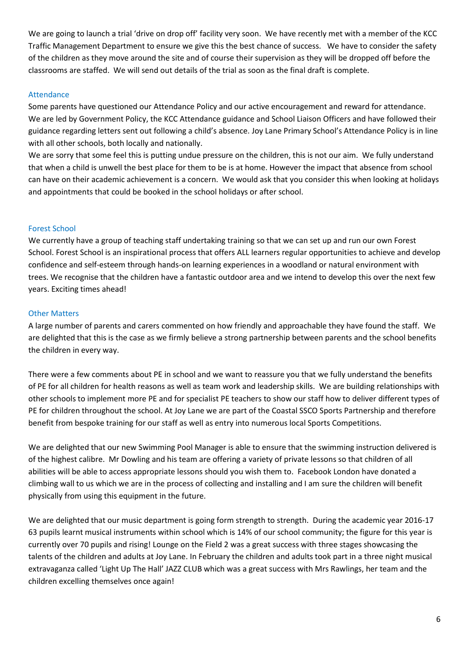We are going to launch a trial 'drive on drop off' facility very soon. We have recently met with a member of the KCC Traffic Management Department to ensure we give this the best chance of success. We have to consider the safety of the children as they move around the site and of course their supervision as they will be dropped off before the classrooms are staffed. We will send out details of the trial as soon as the final draft is complete.

### Attendance

Some parents have questioned our Attendance Policy and our active encouragement and reward for attendance. We are led by Government Policy, the KCC Attendance guidance and School Liaison Officers and have followed their guidance regarding letters sent out following a child's absence. Joy Lane Primary School's Attendance Policy is in line with all other schools, both locally and nationally.

We are sorry that some feel this is putting undue pressure on the children, this is not our aim. We fully understand that when a child is unwell the best place for them to be is at home. However the impact that absence from school can have on their academic achievement is a concern. We would ask that you consider this when looking at holidays and appointments that could be booked in the school holidays or after school.

### Forest School

We currently have a group of teaching staff undertaking training so that we can set up and run our own Forest School. Forest School is an inspirational process that offers ALL learners regular opportunities to achieve and develop confidence and self-esteem through hands-on learning experiences in a woodland or natural environment with trees. We recognise that the children have a fantastic outdoor area and we intend to develop this over the next few years. Exciting times ahead!

### Other Matters

A large number of parents and carers commented on how friendly and approachable they have found the staff. We are delighted that this is the case as we firmly believe a strong partnership between parents and the school benefits the children in every way.

There were a few comments about PE in school and we want to reassure you that we fully understand the benefits of PE for all children for health reasons as well as team work and leadership skills. We are building relationships with other schools to implement more PE and for specialist PE teachers to show our staff how to deliver different types of PE for children throughout the school. At Joy Lane we are part of the Coastal SSCO Sports Partnership and therefore benefit from bespoke training for our staff as well as entry into numerous local Sports Competitions.

We are delighted that our new Swimming Pool Manager is able to ensure that the swimming instruction delivered is of the highest calibre. Mr Dowling and his team are offering a variety of private lessons so that children of all abilities will be able to access appropriate lessons should you wish them to. Facebook London have donated a climbing wall to us which we are in the process of collecting and installing and I am sure the children will benefit physically from using this equipment in the future.

We are delighted that our music department is going form strength to strength. During the academic year 2016-17 63 pupils learnt musical instruments within school which is 14% of our school community; the figure for this year is currently over 70 pupils and rising! Lounge on the Field 2 was a great success with three stages showcasing the talents of the children and adults at Joy Lane. In February the children and adults took part in a three night musical extravaganza called 'Light Up The Hall' JAZZ CLUB which was a great success with Mrs Rawlings, her team and the children excelling themselves once again!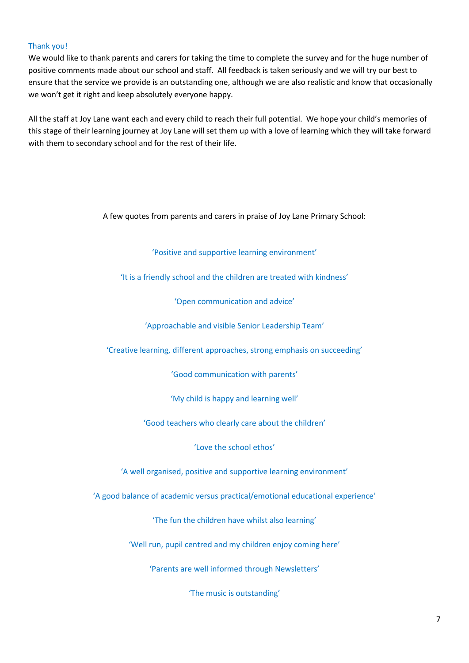### Thank you!

We would like to thank parents and carers for taking the time to complete the survey and for the huge number of positive comments made about our school and staff. All feedback is taken seriously and we will try our best to ensure that the service we provide is an outstanding one, although we are also realistic and know that occasionally we won't get it right and keep absolutely everyone happy.

All the staff at Joy Lane want each and every child to reach their full potential. We hope your child's memories of this stage of their learning journey at Joy Lane will set them up with a love of learning which they will take forward with them to secondary school and for the rest of their life.

A few quotes from parents and carers in praise of Joy Lane Primary School:

'Positive and supportive learning environment'

'It is a friendly school and the children are treated with kindness'

'Open communication and advice'

'Approachable and visible Senior Leadership Team'

'Creative learning, different approaches, strong emphasis on succeeding'

'Good communication with parents'

'My child is happy and learning well'

'Good teachers who clearly care about the children'

'Love the school ethos'

'A well organised, positive and supportive learning environment'

'A good balance of academic versus practical/emotional educational experience'

'The fun the children have whilst also learning'

'Well run, pupil centred and my children enjoy coming here'

'Parents are well informed through Newsletters'

'The music is outstanding'